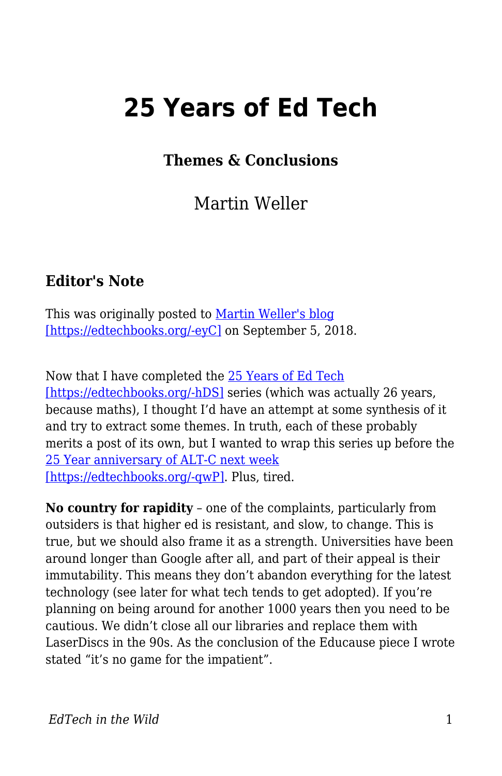## **25 Years of Ed Tech**

## **Themes & Conclusions**

Martin Weller

## **Editor's Note**

This was originally posted to <u>Martin Weller's bloq</u> [\[https://edtechbooks.org/-eyC\]](http://blog.edtechie.net/25yearsedtech/25-years-of-ed-tech-themes-conclusions/) on September 5, 2018.

Now that I have completed the [25 Years of Ed Tech](http://blog.edtechie.net/category/25yearsedtech/) [\[https://edtechbooks.org/-hDS\]](http://blog.edtechie.net/category/25yearsedtech/) series (which was actually 26 years, because maths), I thought I'd have an attempt at some synthesis of it and try to extract some themes. In truth, each of these probably merits a post of its own, but I wanted to wrap this series up before the [25 Year anniversary of ALT-C next week](https://altc.alt.ac.uk/blog/2018/09/the-sound-of-altc/) [\[https://edtechbooks.org/-qwP\].](https://altc.alt.ac.uk/blog/2018/09/the-sound-of-altc/) Plus, tired.

**No country for rapidity** – one of the complaints, particularly from outsiders is that higher ed is resistant, and slow, to change. This is true, but we should also frame it as a strength. Universities have been around longer than Google after all, and part of their appeal is their immutability. This means they don't abandon everything for the latest technology (see later for what tech tends to get adopted). If you're planning on being around for another 1000 years then you need to be cautious. We didn't close all our libraries and replace them with LaserDiscs in the 90s. As the conclusion of the Educause piece I wrote stated "it's no game for the impatient".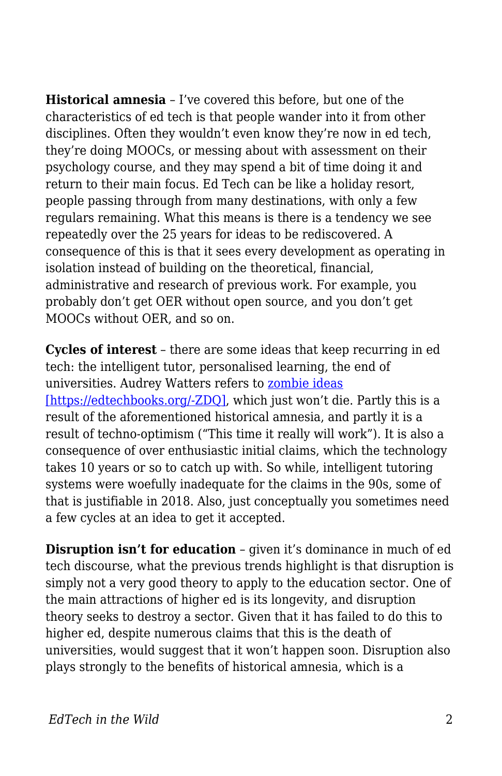**Historical amnesia** – I've covered this before, but one of the characteristics of ed tech is that people wander into it from other disciplines. Often they wouldn't even know they're now in ed tech, they're doing MOOCs, or messing about with assessment on their psychology course, and they may spend a bit of time doing it and return to their main focus. Ed Tech can be like a holiday resort, people passing through from many destinations, with only a few regulars remaining. What this means is there is a tendency we see repeatedly over the 25 years for ideas to be rediscovered. A consequence of this is that it sees every development as operating in isolation instead of building on the theoretical, financial, administrative and research of previous work. For example, you probably don't get OER without open source, and you don't get MOOCs without OER, and so on.

**Cycles of interest** – there are some ideas that keep recurring in ed tech: the intelligent tutor, personalised learning, the end of universities. Audrey Watters refers to [zombie ideas](http://2013trends.hackeducation.com/zombies.html) [\[https://edtechbooks.org/-ZDQ\]](http://2013trends.hackeducation.com/zombies.html), which just won't die. Partly this is a result of the aforementioned historical amnesia, and partly it is a result of techno-optimism ("This time it really will work"). It is also a consequence of over enthusiastic initial claims, which the technology takes 10 years or so to catch up with. So while, intelligent tutoring systems were woefully inadequate for the claims in the 90s, some of that is justifiable in 2018. Also, just conceptually you sometimes need a few cycles at an idea to get it accepted.

**Disruption isn't for education** – given it's dominance in much of ed tech discourse, what the previous trends highlight is that disruption is simply not a very good theory to apply to the education sector. One of the main attractions of higher ed is its longevity, and disruption theory seeks to destroy a sector. Given that it has failed to do this to higher ed, despite numerous claims that this is the death of universities, would suggest that it won't happen soon. Disruption also plays strongly to the benefits of historical amnesia, which is a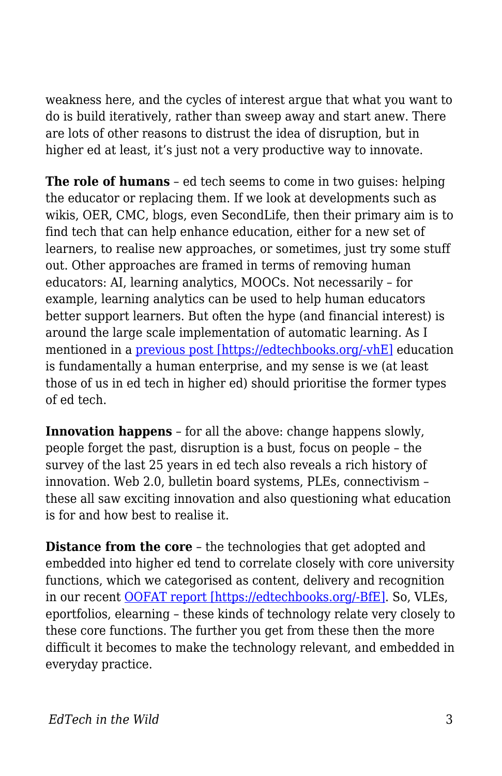weakness here, and the cycles of interest argue that what you want to do is build iteratively, rather than sweep away and start anew. There are lots of other reasons to distrust the idea of disruption, but in higher ed at least, it's just not a very productive way to innovate.

**The role of humans** – ed tech seems to come in two guises: helping the educator or replacing them. If we look at developments such as wikis, OER, CMC, blogs, even SecondLife, then their primary aim is to find tech that can help enhance education, either for a new set of learners, to realise new approaches, or sometimes, just try some stuff out. Other approaches are framed in terms of removing human educators: AI, learning analytics, MOOCs. Not necessarily – for example, learning analytics can be used to help human educators better support learners. But often the hype (and financial interest) is around the large scale implementation of automatic learning. As I mentioned in a [previous post \[https://edtechbooks.org/-vhE\]](http://blog.edtechie.net/25yearsedtech/25-years-of-ed-tech-2016-the-return-of-ai/) education is fundamentally a human enterprise, and my sense is we (at least those of us in ed tech in higher ed) should prioritise the former types of ed tech.

**Innovation happens** – for all the above: change happens slowly, people forget the past, disruption is a bust, focus on people – the survey of the last 25 years in ed tech also reveals a rich history of innovation. Web 2.0, bulletin board systems, PLEs, connectivism – these all saw exciting innovation and also questioning what education is for and how best to realise it.

**Distance from the core** – the technologies that get adopted and embedded into higher ed tend to correlate closely with core university functions, which we categorised as content, delivery and recognition in our recent [OOFAT report \[https://edtechbooks.org/-BfE\]](http://blog.edtechie.net/research/models-of-online-flexible-learning/). So, VLEs, eportfolios, elearning – these kinds of technology relate very closely to these core functions. The further you get from these then the more difficult it becomes to make the technology relevant, and embedded in everyday practice.